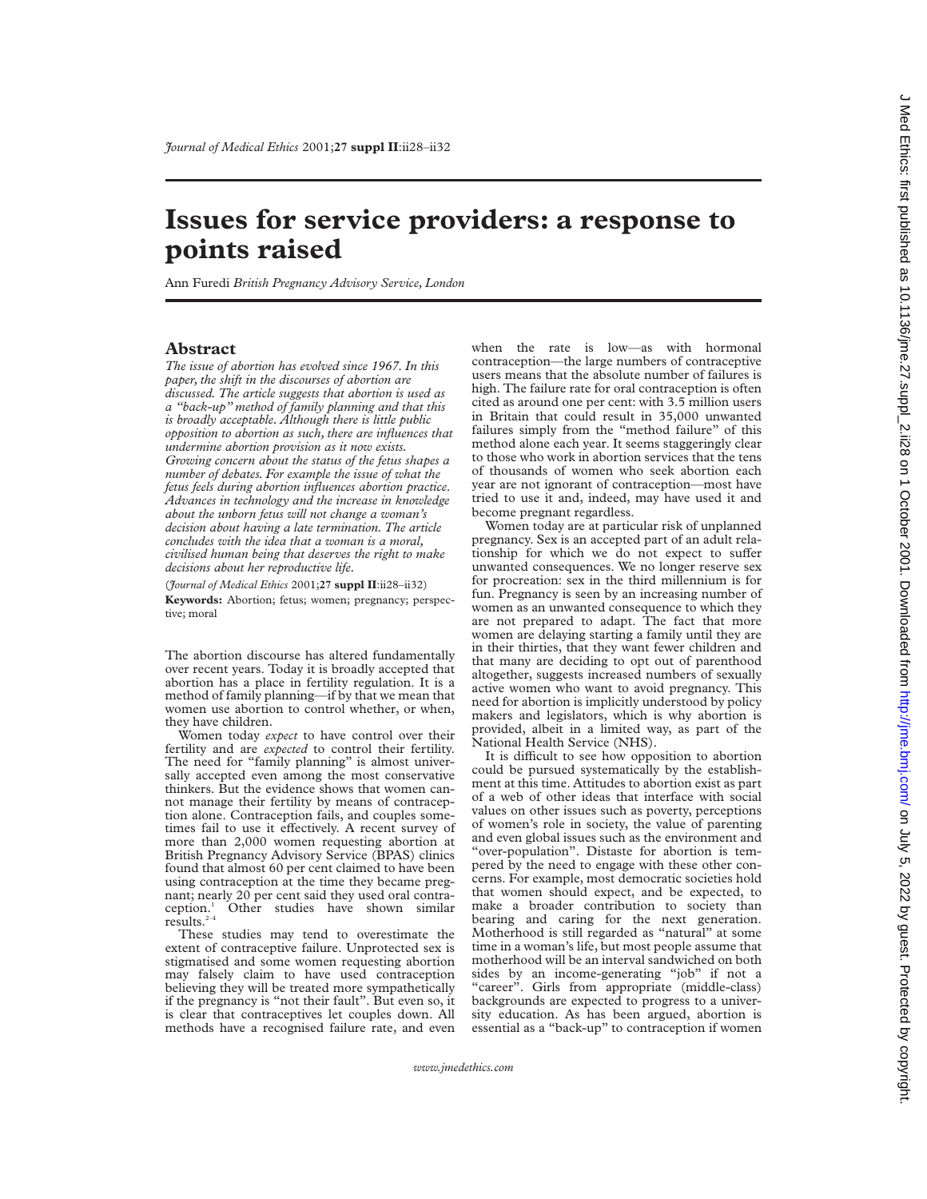## **Issues for service providers: a response to points raised**

Ann Furedi *British Pregnancy Advisory Service, London*

## **Abstract**

*The issue of abortion has evolved since 1967. In this paper, the shift in the discourses of abortion are discussed. The article suggests that abortion is used as a "back-up" method of family planning and that this is broadly acceptable. Although there is little public opposition to abortion as such, there are influences that undermine abortion provision as it now exists. Growing concern about the status of the fetus shapes a number of debates. For example the issue of what the fetus feels during abortion influences abortion practice. Advances in technology and the increase in knowledge about the unborn fetus will not change a woman's decision about having a late termination. The article concludes with the idea that a woman is a moral, civilised human being that deserves the right to make decisions about her reproductive life.*

(*Journal of Medical Ethics* 2001;**27 suppl II**:ii28–ii32) **Keywords:** Abortion; fetus; women; pregnancy; perspective; moral

The abortion discourse has altered fundamentally over recent years. Today it is broadly accepted that abortion has a place in fertility regulation. It is a method of family planning—if by that we mean that women use abortion to control whether, or when, they have children.

Women today *expect* to have control over their fertility and are *expected* to control their fertility. The need for "family planning" is almost universally accepted even among the most conservative thinkers. But the evidence shows that women cannot manage their fertility by means of contraception alone. Contraception fails, and couples sometimes fail to use it effectively. A recent survey of more than 2,000 women requesting abortion at British Pregnancy Advisory Service (BPAS) clinics found that almost 60 per cent claimed to have been using contraception at the time they became pregnant; nearly 20 per cent said they used oral contraception.1 Other studies have shown similar results.  $\real^{2\!-\!4}$ 

These studies may tend to overestimate the extent of contraceptive failure. Unprotected sex is stigmatised and some women requesting abortion may falsely claim to have used contraception believing they will be treated more sympathetically if the pregnancy is "not their fault". But even so, it is clear that contraceptives let couples down. All methods have a recognised failure rate, and even when the rate is low—as with hormonal contraception—the large numbers of contraceptive users means that the absolute number of failures is high. The failure rate for oral contraception is often cited as around one per cent: with 3.5 million users in Britain that could result in 35,000 unwanted failures simply from the "method failure" of this method alone each year. It seems staggeringly clear to those who work in abortion services that the tens of thousands of women who seek abortion each year are not ignorant of contraception—most have tried to use it and, indeed, may have used it and become pregnant regardless.

Women today are at particular risk of unplanned pregnancy. Sex is an accepted part of an adult relationship for which we do not expect to suffer unwanted consequences. We no longer reserve sex for procreation: sex in the third millennium is for fun. Pregnancy is seen by an increasing number of women as an unwanted consequence to which they are not prepared to adapt. The fact that more women are delaying starting a family until they are in their thirties, that they want fewer children and that many are deciding to opt out of parenthood altogether, suggests increased numbers of sexually active women who want to avoid pregnancy. This need for abortion is implicitly understood by policy makers and legislators, which is why abortion is provided, albeit in a limited way, as part of the National Health Service (NHS).

It is difficult to see how opposition to abortion could be pursued systematically by the establishment at this time. Attitudes to abortion exist as part of a web of other ideas that interface with social values on other issues such as poverty, perceptions of women's role in society, the value of parenting and even global issues such as the environment and "over-population". Distaste for abortion is tempered by the need to engage with these other concerns. For example, most democratic societies hold that women should expect, and be expected, to make a broader contribution to society than bearing and caring for the next generation. Motherhood is still regarded as "natural" at some time in a woman's life, but most people assume that motherhood will be an interval sandwiched on both sides by an income-generating "job" if not a "career". Girls from appropriate (middle-class) backgrounds are expected to progress to a university education. As has been argued, abortion is essential as a "back-up" to contraception if women

*www.jmedethics.com*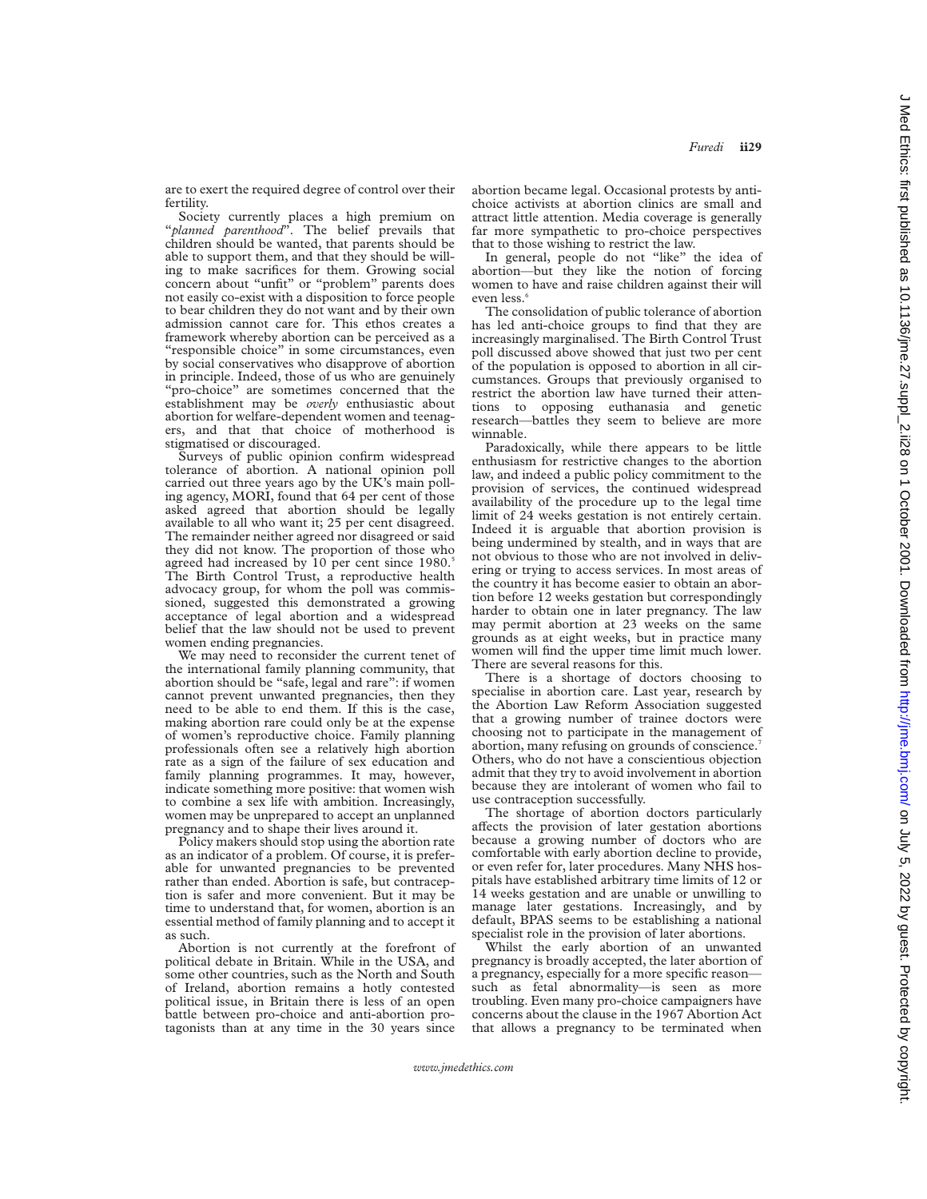are to exert the required degree of control over their fertility.

Society currently places a high premium on "*planned parenthood*". The belief prevails that children should be wanted, that parents should be able to support them, and that they should be willing to make sacrifices for them. Growing social concern about "unfit" or "problem" parents does not easily co-exist with a disposition to force people to bear children they do not want and by their own admission cannot care for. This ethos creates a framework whereby abortion can be perceived as a "responsible choice" in some circumstances, even by social conservatives who disapprove of abortion in principle. Indeed, those of us who are genuinely "pro-choice" are sometimes concerned that the establishment may be *overly* enthusiastic about abortion for welfare-dependent women and teenagers, and that that choice of motherhood is stigmatised or discouraged.

Surveys of public opinion confirm widespread tolerance of abortion. A national opinion poll carried out three years ago by the UK's main polling agency, MORI, found that 64 per cent of those asked agreed that abortion should be legally available to all who want it; 25 per cent disagreed. The remainder neither agreed nor disagreed or said they did not know. The proportion of those who agreed had increased by 10 per cent since 1980.<sup>5</sup> The Birth Control Trust, a reproductive health advocacy group, for whom the poll was commissioned, suggested this demonstrated a growing acceptance of legal abortion and a widespread belief that the law should not be used to prevent women ending pregnancies.

We may need to reconsider the current tenet of the international family planning community, that abortion should be "safe, legal and rare": if women cannot prevent unwanted pregnancies, then they need to be able to end them. If this is the case, making abortion rare could only be at the expense of women's reproductive choice. Family planning professionals often see a relatively high abortion rate as a sign of the failure of sex education and family planning programmes. It may, however, indicate something more positive: that women wish to combine a sex life with ambition. Increasingly, women may be unprepared to accept an unplanned pregnancy and to shape their lives around it.

Policy makers should stop using the abortion rate as an indicator of a problem. Of course, it is preferable for unwanted pregnancies to be prevented rather than ended. Abortion is safe, but contraception is safer and more convenient. But it may be time to understand that, for women, abortion is an essential method of family planning and to accept it as such.

Abortion is not currently at the forefront of political debate in Britain. While in the USA, and some other countries, such as the North and South of Ireland, abortion remains a hotly contested political issue, in Britain there is less of an open battle between pro-choice and anti-abortion protagonists than at any time in the 30 years since abortion became legal. Occasional protests by antichoice activists at abortion clinics are small and attract little attention. Media coverage is generally far more sympathetic to pro-choice perspectives that to those wishing to restrict the law.

In general, people do not "like" the idea of abortion—but they like the notion of forcing women to have and raise children against their will even less.

The consolidation of public tolerance of abortion has led anti-choice groups to find that they are increasingly marginalised. The Birth Control Trust poll discussed above showed that just two per cent of the population is opposed to abortion in all circumstances. Groups that previously organised to restrict the abortion law have turned their attentions to opposing euthanasia and genetic research—battles they seem to believe are more winnable.

Paradoxically, while there appears to be little enthusiasm for restrictive changes to the abortion law, and indeed a public policy commitment to the provision of services, the continued widespread availability of the procedure up to the legal time limit of 24 weeks gestation is not entirely certain. Indeed it is arguable that abortion provision is being undermined by stealth, and in ways that are not obvious to those who are not involved in delivering or trying to access services. In most areas of the country it has become easier to obtain an abortion before 12 weeks gestation but correspondingly harder to obtain one in later pregnancy. The law may permit abortion at 23 weeks on the same grounds as at eight weeks, but in practice many women will find the upper time limit much lower. There are several reasons for this.

There is a shortage of doctors choosing to specialise in abortion care. Last year, research by the Abortion Law Reform Association suggested that a growing number of trainee doctors were choosing not to participate in the management of abortion, many refusing on grounds of conscience.<sup>7</sup> Others, who do not have a conscientious objection admit that they try to avoid involvement in abortion because they are intolerant of women who fail to use contraception successfully.

The shortage of abortion doctors particularly affects the provision of later gestation abortions because a growing number of doctors who are comfortable with early abortion decline to provide, or even refer for, later procedures. Many NHS hospitals have established arbitrary time limits of 12 or 14 weeks gestation and are unable or unwilling to manage later gestations. Increasingly, and by default, BPAS seems to be establishing a national specialist role in the provision of later abortions.

Whilst the early abortion of an unwanted pregnancy is broadly accepted, the later abortion of a pregnancy, especially for a more specific reason such as fetal abnormality—is seen as more troubling. Even many pro-choice campaigners have concerns about the clause in the 1967 Abortion Act that allows a pregnancy to be terminated when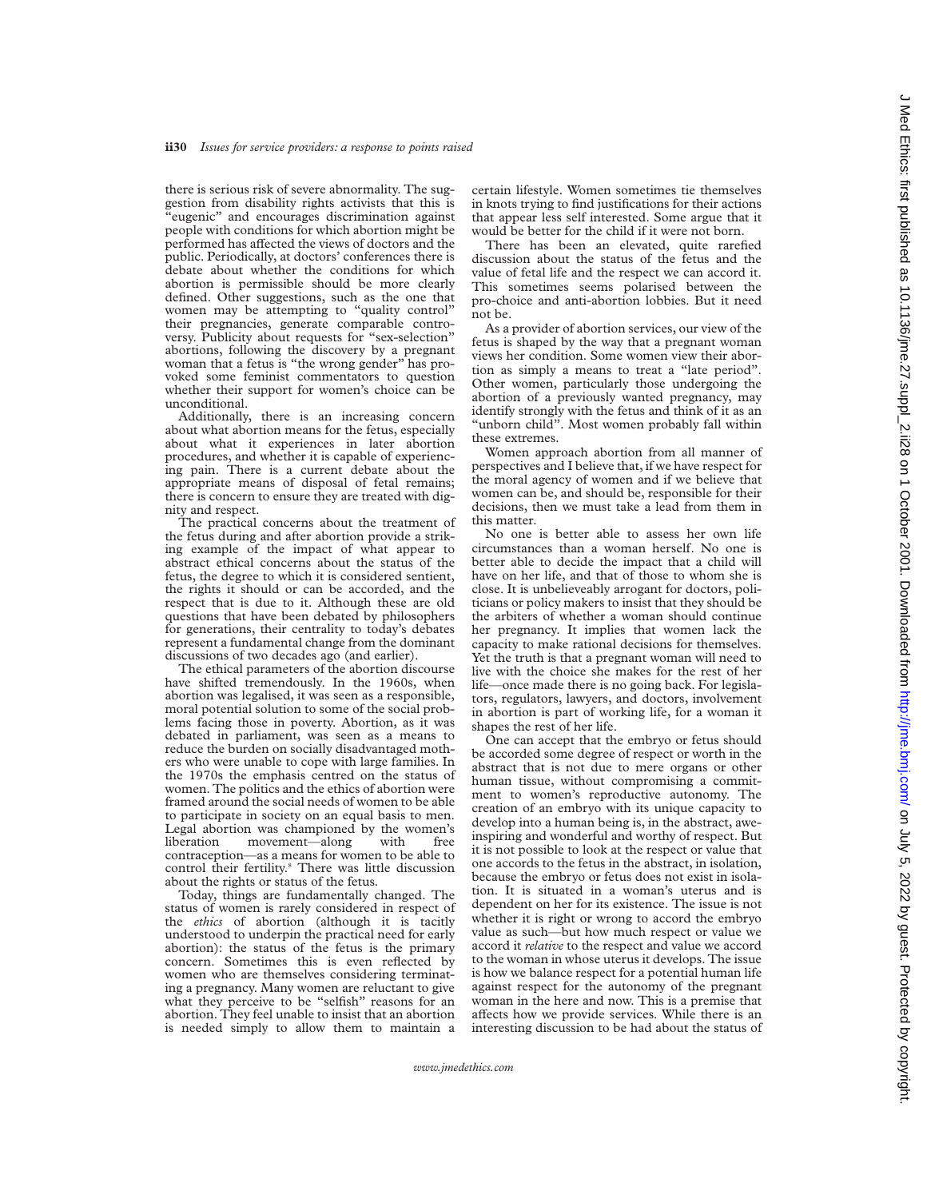there is serious risk of severe abnormality. The suggestion from disability rights activists that this is "eugenic" and encourages discrimination against people with conditions for which abortion might be performed has affected the views of doctors and the public. Periodically, at doctors' conferences there is debate about whether the conditions for which abortion is permissible should be more clearly defined. Other suggestions, such as the one that women may be attempting to "quality control" their pregnancies, generate comparable controversy. Publicity about requests for "sex-selection" abortions, following the discovery by a pregnant woman that a fetus is "the wrong gender" has provoked some feminist commentators to question whether their support for women's choice can be unconditional.

Additionally, there is an increasing concern about what abortion means for the fetus, especially about what it experiences in later abortion procedures, and whether it is capable of experiencing pain. There is a current debate about the appropriate means of disposal of fetal remains; there is concern to ensure they are treated with dignity and respect.

The practical concerns about the treatment of the fetus during and after abortion provide a striking example of the impact of what appear to abstract ethical concerns about the status of the fetus, the degree to which it is considered sentient, the rights it should or can be accorded, and the respect that is due to it. Although these are old questions that have been debated by philosophers for generations, their centrality to today's debates represent a fundamental change from the dominant discussions of two decades ago (and earlier).

The ethical parameters of the abortion discourse have shifted tremendously. In the 1960s, when abortion was legalised, it was seen as a responsible, moral potential solution to some of the social problems facing those in poverty. Abortion, as it was debated in parliament, was seen as a means to reduce the burden on socially disadvantaged mothers who were unable to cope with large families. In the 1970s the emphasis centred on the status of women. The politics and the ethics of abortion were framed around the social needs of women to be able to participate in society on an equal basis to men. Legal abortion was championed by the women's<br>liberation movement—along with free movement—along with free contraception—as a means for women to be able to control their fertility.<sup>8</sup> There was little discussion about the rights or status of the fetus.

Today, things are fundamentally changed. The status of women is rarely considered in respect of the *ethics* of abortion (although it is tacitly understood to underpin the practical need for early abortion): the status of the fetus is the primary concern. Sometimes this is even reflected by women who are themselves considering terminating a pregnancy. Many women are reluctant to give what they perceive to be "selfish" reasons for an abortion. They feel unable to insist that an abortion is needed simply to allow them to maintain a

certain lifestyle. Women sometimes tie themselves in knots trying to find justifications for their actions that appear less self interested. Some argue that it would be better for the child if it were not born.

There has been an elevated, quite rarefied discussion about the status of the fetus and the value of fetal life and the respect we can accord it. This sometimes seems polarised between the pro-choice and anti-abortion lobbies. But it need not be.

As a provider of abortion services, our view of the fetus is shaped by the way that a pregnant woman views her condition. Some women view their abortion as simply a means to treat a "late period". Other women, particularly those undergoing the abortion of a previously wanted pregnancy, may identify strongly with the fetus and think of it as an "unborn child". Most women probably fall within these extremes.

Women approach abortion from all manner of perspectives and I believe that, if we have respect for the moral agency of women and if we believe that women can be, and should be, responsible for their decisions, then we must take a lead from them in this matter.

No one is better able to assess her own life circumstances than a woman herself. No one is better able to decide the impact that a child will have on her life, and that of those to whom she is close. It is unbelieveably arrogant for doctors, politicians or policy makers to insist that they should be the arbiters of whether a woman should continue her pregnancy. It implies that women lack the capacity to make rational decisions for themselves. Yet the truth is that a pregnant woman will need to live with the choice she makes for the rest of her life—once made there is no going back. For legislators, regulators, lawyers, and doctors, involvement in abortion is part of working life, for a woman it shapes the rest of her life.

One can accept that the embryo or fetus should be accorded some degree of respect or worth in the abstract that is not due to mere organs or other human tissue, without compromising a commitment to women's reproductive autonomy. The creation of an embryo with its unique capacity to develop into a human being is, in the abstract, aweinspiring and wonderful and worthy of respect. But it is not possible to look at the respect or value that one accords to the fetus in the abstract, in isolation, because the embryo or fetus does not exist in isolation. It is situated in a woman's uterus and is dependent on her for its existence. The issue is not whether it is right or wrong to accord the embryo value as such—but how much respect or value we accord it *relative* to the respect and value we accord to the woman in whose uterus it develops. The issue is how we balance respect for a potential human life against respect for the autonomy of the pregnant woman in the here and now. This is a premise that affects how we provide services. While there is an interesting discussion to be had about the status of

*www.jmedethics.com*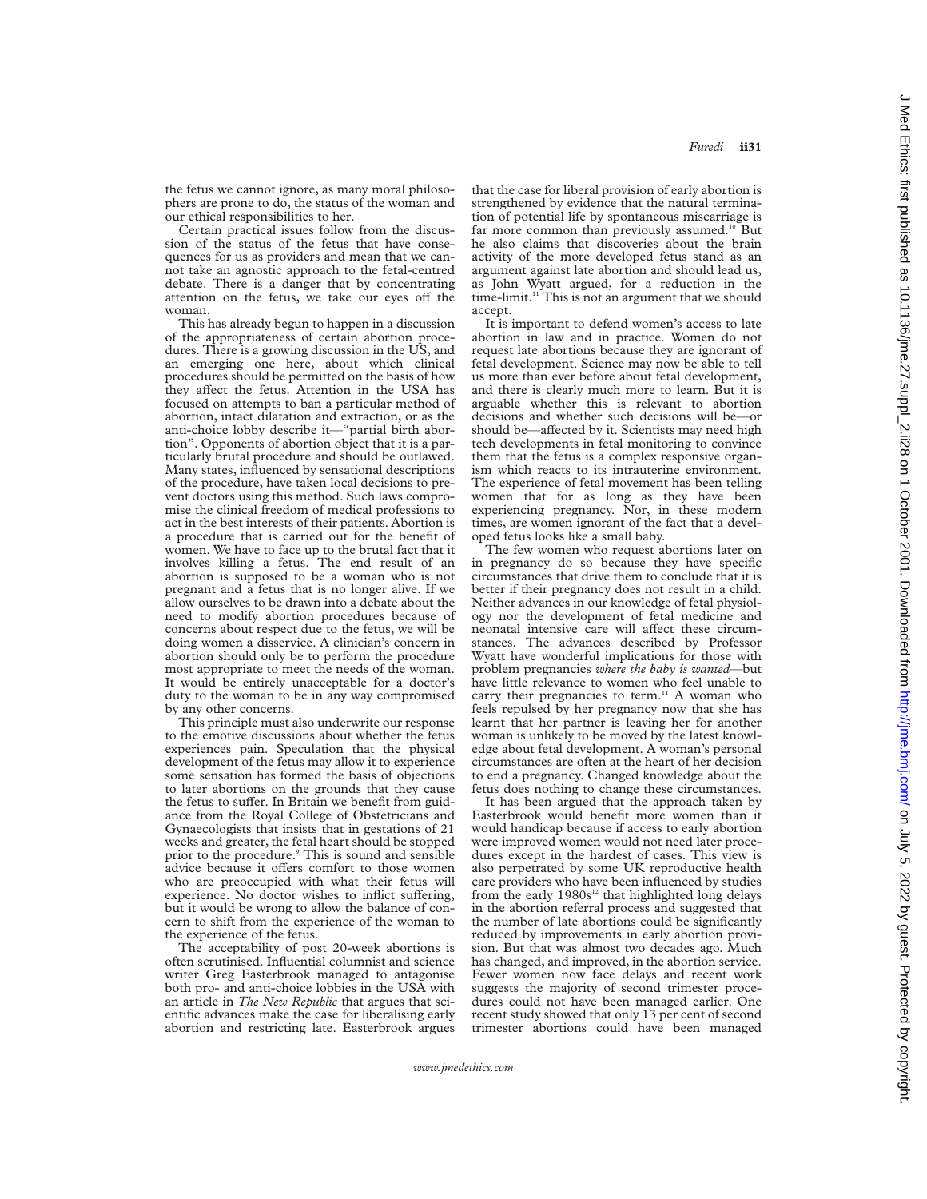the fetus we cannot ignore, as many moral philosophers are prone to do, the status of the woman and our ethical responsibilities to her.

Certain practical issues follow from the discussion of the status of the fetus that have consequences for us as providers and mean that we cannot take an agnostic approach to the fetal-centred debate. There is a danger that by concentrating attention on the fetus, we take our eyes off the woman.

This has already begun to happen in a discussion of the appropriateness of certain abortion procedures. There is a growing discussion in the US, and an emerging one here, about which clinical procedures should be permitted on the basis of how they affect the fetus. Attention in the USA has focused on attempts to ban a particular method of abortion, intact dilatation and extraction, or as the anti-choice lobby describe it—"partial birth abortion". Opponents of abortion object that it is a particularly brutal procedure and should be outlawed. Many states, influenced by sensational descriptions of the procedure, have taken local decisions to prevent doctors using this method. Such laws compromise the clinical freedom of medical professions to act in the best interests of their patients. Abortion is a procedure that is carried out for the benefit of women. We have to face up to the brutal fact that it involves killing a fetus. The end result of an abortion is supposed to be a woman who is not pregnant and a fetus that is no longer alive. If we allow ourselves to be drawn into a debate about the need to modify abortion procedures because of concerns about respect due to the fetus, we will be doing women a disservice. A clinician's concern in abortion should only be to perform the procedure most appropriate to meet the needs of the woman. It would be entirely unacceptable for a doctor's duty to the woman to be in any way compromised by any other concerns.

This principle must also underwrite our response to the emotive discussions about whether the fetus experiences pain. Speculation that the physical development of the fetus may allow it to experience some sensation has formed the basis of objections to later abortions on the grounds that they cause the fetus to suffer. In Britain we benefit from guidance from the Royal College of Obstetricians and Gynaecologists that insists that in gestations of 21 weeks and greater, the fetal heart should be stopped prior to the procedure.<sup>9</sup> This is sound and sensible advice because it offers comfort to those women who are preoccupied with what their fetus will experience. No doctor wishes to inflict suffering, but it would be wrong to allow the balance of concern to shift from the experience of the woman to the experience of the fetus.

The acceptability of post 20-week abortions is often scrutinised. Influential columnist and science writer Greg Easterbrook managed to antagonise both pro- and anti-choice lobbies in the USA with an article in *The New Republic* that argues that scientific advances make the case for liberalising early abortion and restricting late. Easterbrook argues

that the case for liberal provision of early abortion is strengthened by evidence that the natural termination of potential life by spontaneous miscarriage is far more common than previously assumed.<sup>10</sup> But he also claims that discoveries about the brain activity of the more developed fetus stand as an argument against late abortion and should lead us, as John Wyatt argued, for a reduction in the time-limit.<sup>11</sup> This is not an argument that we should accept.

It is important to defend women's access to late abortion in law and in practice. Women do not request late abortions because they are ignorant of fetal development. Science may now be able to tell us more than ever before about fetal development, and there is clearly much more to learn. But it is arguable whether this is relevant to abortion decisions and whether such decisions will be—or should be—affected by it. Scientists may need high tech developments in fetal monitoring to convince them that the fetus is a complex responsive organism which reacts to its intrauterine environment. The experience of fetal movement has been telling women that for as long as they have been experiencing pregnancy. Nor, in these modern times, are women ignorant of the fact that a developed fetus looks like a small baby.

The few women who request abortions later on in pregnancy do so because they have specific circumstances that drive them to conclude that it is better if their pregnancy does not result in a child. Neither advances in our knowledge of fetal physiology nor the development of fetal medicine and neonatal intensive care will affect these circumstances. The advances described by Professor Wyatt have wonderful implications for those with problem pregnancies *where the baby is wanted*—but have little relevance to women who feel unable to carry their pregnancies to term.<sup>11</sup> A woman who feels repulsed by her pregnancy now that she has learnt that her partner is leaving her for another woman is unlikely to be moved by the latest knowledge about fetal development. A woman's personal circumstances are often at the heart of her decision to end a pregnancy. Changed knowledge about the fetus does nothing to change these circumstances.

It has been argued that the approach taken by Easterbrook would benefit more women than it would handicap because if access to early abortion were improved women would not need later procedures except in the hardest of cases. This view is also perpetrated by some UK reproductive health care providers who have been influenced by studies from the early  $1980s^{12}$  that highlighted long delays in the abortion referral process and suggested that the number of late abortions could be significantly reduced by improvements in early abortion provision. But that was almost two decades ago. Much has changed, and improved, in the abortion service. Fewer women now face delays and recent work suggests the majority of second trimester procedures could not have been managed earlier. One recent study showed that only 13 per cent of second trimester abortions could have been managed